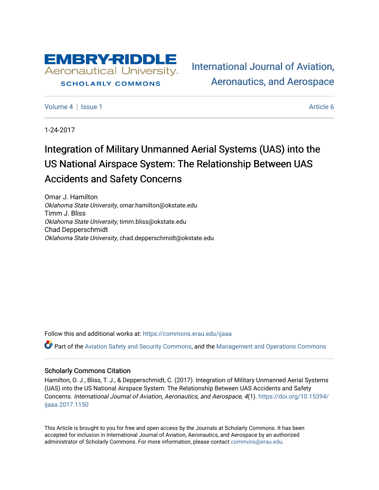

#### **SCHOLARLY COMMONS**

[International Journal of Aviation,](https://commons.erau.edu/ijaaa)  [Aeronautics, and Aerospace](https://commons.erau.edu/ijaaa) 

[Volume 4](https://commons.erau.edu/ijaaa/vol4) | [Issue 1](https://commons.erau.edu/ijaaa/vol4/iss1) Article 6

1-24-2017

# Integration of Military Unmanned Aerial Systems (UAS) into the US National Airspace System: The Relationship Between UAS Accidents and Safety Concerns

Omar J. Hamilton Oklahoma State University, omar.hamilton@okstate.edu Timm J. Bliss Oklahoma State University, timm.bliss@okstate.edu Chad Depperschmidt Oklahoma State University, chad.depperschmidt@okstate.edu

Follow this and additional works at: [https://commons.erau.edu/ijaaa](https://commons.erau.edu/ijaaa?utm_source=commons.erau.edu%2Fijaaa%2Fvol4%2Fiss1%2F6&utm_medium=PDF&utm_campaign=PDFCoverPages) 

Part of the [Aviation Safety and Security Commons,](http://network.bepress.com/hgg/discipline/1320?utm_source=commons.erau.edu%2Fijaaa%2Fvol4%2Fiss1%2F6&utm_medium=PDF&utm_campaign=PDFCoverPages) and the [Management and Operations Commons](http://network.bepress.com/hgg/discipline/1311?utm_source=commons.erau.edu%2Fijaaa%2Fvol4%2Fiss1%2F6&utm_medium=PDF&utm_campaign=PDFCoverPages)

#### Scholarly Commons Citation

Hamilton, O. J., Bliss, T. J., & Depperschmidt, C. (2017). Integration of Military Unmanned Aerial Systems (UAS) into the US National Airspace System: The Relationship Between UAS Accidents and Safety Concerns. International Journal of Aviation, Aeronautics, and Aerospace, 4(1). [https://doi.org/10.15394/](https://doi.org/10.15394/ijaaa.2017.1150) [ijaaa.2017.1150](https://doi.org/10.15394/ijaaa.2017.1150)

This Article is brought to you for free and open access by the Journals at Scholarly Commons. It has been accepted for inclusion in International Journal of Aviation, Aeronautics, and Aerospace by an authorized administrator of Scholarly Commons. For more information, please contact [commons@erau.edu](mailto:commons@erau.edu).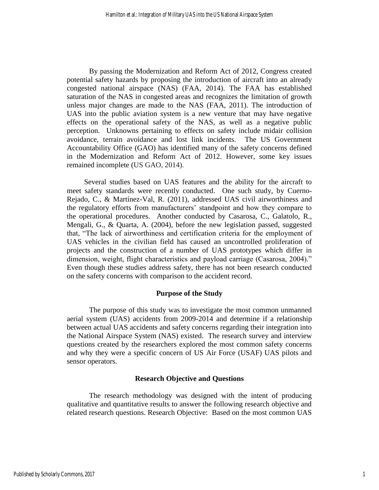By passing the Modernization and Reform Act of 2012, Congress created potential safety hazards by proposing the introduction of aircraft into an already congested national airspace (NAS) (FAA, 2014). The FAA has established saturation of the NAS in congested areas and recognizes the limitation of growth unless major changes are made to the NAS (FAA, 2011). The introduction of UAS into the public aviation system is a new venture that may have negative effects on the operational safety of the NAS, as well as a negative public perception. Unknowns pertaining to effects on safety include midair collision avoidance, terrain avoidance and lost link incidents. The US Government Accountability Office (GAO) has identified many of the safety concerns defined in the Modernization and Reform Act of 2012. However, some key issues remained incomplete (US GAO, 2014).

Several studies based on UAS features and the ability for the aircraft to meet safety standards were recently conducted. One such study, by Cuerno-Rejado, C., & Martínez-Val, R. (2011), addressed UAS civil airworthiness and the regulatory efforts from manufacturers' standpoint and how they compare to the operational procedures. Another conducted by Casarosa, C., Galatolo, R., Mengali, G., & Quarta, A. (2004), before the new legislation passed, suggested that, "The lack of airworthiness and certification criteria for the employment of UAS vehicles in the civilian field has caused an uncontrolled proliferation of projects and the construction of a number of UAS prototypes which differ in dimension, weight, flight characteristics and payload carriage (Casarosa, 2004)." Even though these studies address safety, there has not been research conducted on the safety concerns with comparison to the accident record.

#### **Purpose of the Study**

The purpose of this study was to investigate the most common unmanned aerial system (UAS) accidents from 2009-2014 and determine if a relationship between actual UAS accidents and safety concerns regarding their integration into the National Airspace System (NAS) existed. The research survey and interview questions created by the researchers explored the most common safety concerns and why they were a specific concern of US Air Force (USAF) UAS pilots and sensor operators.

## **Research Objective and Questions**

The research methodology was designed with the intent of producing qualitative and quantitative results to answer the following research objective and related research questions. Research Objective: Based on the most common UAS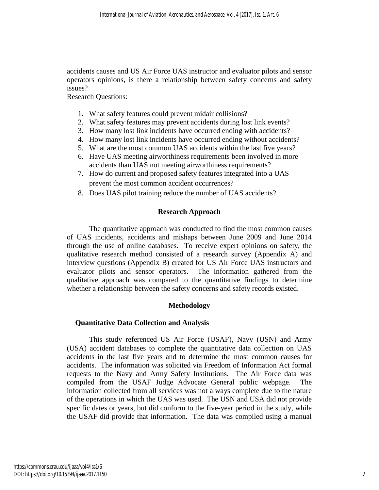accidents causes and US Air Force UAS instructor and evaluator pilots and sensor operators opinions, is there a relationship between safety concerns and safety issues?

Research Questions:

- 1. What safety features could prevent midair collisions?
- 2. What safety features may prevent accidents during lost link events?
- 3. How many lost link incidents have occurred ending with accidents?
- 4. How many lost link incidents have occurred ending without accidents?
- 5. What are the most common UAS accidents within the last five years?
- 6. Have UAS meeting airworthiness requirements been involved in more accidents than UAS not meeting airworthiness requirements?
- 7. How do current and proposed safety features integrated into a UAS prevent the most common accident occurrences?
- 8. Does UAS pilot training reduce the number of UAS accidents?

# **Research Approach**

The quantitative approach was conducted to find the most common causes of UAS incidents, accidents and mishaps between June 2009 and June 2014 through the use of online databases. To receive expert opinions on safety, the qualitative research method consisted of a research survey (Appendix A) and interview questions (Appendix B) created for US Air Force UAS instructors and evaluator pilots and sensor operators. The information gathered from the qualitative approach was compared to the quantitative findings to determine whether a relationship between the safety concerns and safety records existed.

# **Methodology**

#### **Quantitative Data Collection and Analysis**

This study referenced US Air Force (USAF), Navy (USN) and Army (USA) accident databases to complete the quantitative data collection on UAS accidents in the last five years and to determine the most common causes for accidents. The information was solicited via Freedom of Information Act formal requests to the Navy and Army Safety Institutions. The Air Force data was compiled from the USAF Judge Advocate General public webpage. The information collected from all services was not always complete due to the nature of the operations in which the UAS was used. The USN and USA did not provide specific dates or years, but did conform to the five-year period in the study, while the USAF did provide that information. The data was compiled using a manual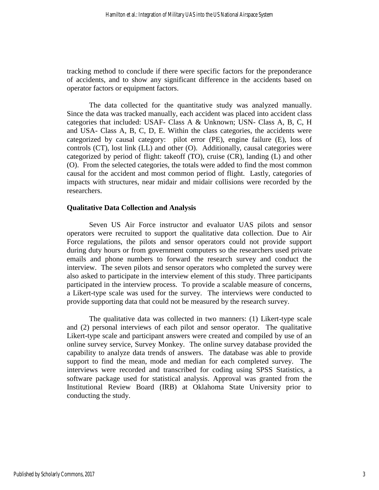tracking method to conclude if there were specific factors for the preponderance of accidents, and to show any significant difference in the accidents based on operator factors or equipment factors.

The data collected for the quantitative study was analyzed manually. Since the data was tracked manually, each accident was placed into accident class categories that included: USAF- Class A & Unknown; USN- Class A, B, C, H and USA- Class A, B, C, D, E. Within the class categories, the accidents were categorized by causal category: pilot error (PE), engine failure (E), loss of controls (CT), lost link (LL) and other (O). Additionally, causal categories were categorized by period of flight: takeoff (TO), cruise (CR), landing (L) and other (O). From the selected categories, the totals were added to find the most common causal for the accident and most common period of flight. Lastly, categories of impacts with structures, near midair and midair collisions were recorded by the researchers.

## **Qualitative Data Collection and Analysis**

Seven US Air Force instructor and evaluator UAS pilots and sensor operators were recruited to support the qualitative data collection. Due to Air Force regulations, the pilots and sensor operators could not provide support during duty hours or from government computers so the researchers used private emails and phone numbers to forward the research survey and conduct the interview. The seven pilots and sensor operators who completed the survey were also asked to participate in the interview element of this study. Three participants participated in the interview process. To provide a scalable measure of concerns, a Likert-type scale was used for the survey. The interviews were conducted to provide supporting data that could not be measured by the research survey.

The qualitative data was collected in two manners: (1) Likert-type scale and (2) personal interviews of each pilot and sensor operator. The qualitative Likert-type scale and participant answers were created and compiled by use of an online survey service, Survey Monkey. The online survey database provided the capability to analyze data trends of answers. The database was able to provide support to find the mean, mode and median for each completed survey. The interviews were recorded and transcribed for coding using SPSS Statistics, a software package used for statistical analysis. Approval was granted from the Institutional Review Board (IRB) at Oklahoma State University prior to conducting the study.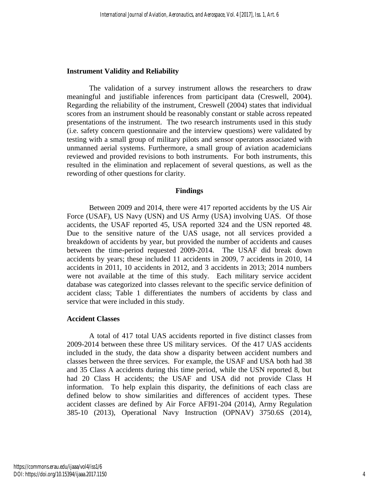#### **Instrument Validity and Reliability**

The validation of a survey instrument allows the researchers to draw meaningful and justifiable inferences from participant data (Creswell, 2004). Regarding the reliability of the instrument, Creswell (2004) states that individual scores from an instrument should be reasonably constant or stable across repeated presentations of the instrument. The two research instruments used in this study (i.e. safety concern questionnaire and the interview questions) were validated by testing with a small group of military pilots and sensor operators associated with unmanned aerial systems. Furthermore, a small group of aviation academicians reviewed and provided revisions to both instruments. For both instruments, this resulted in the elimination and replacement of several questions, as well as the rewording of other questions for clarity.

#### **Findings**

Between 2009 and 2014, there were 417 reported accidents by the US Air Force (USAF), US Navy (USN) and US Army (USA) involving UAS. Of those accidents, the USAF reported 45, USA reported 324 and the USN reported 48. Due to the sensitive nature of the UAS usage, not all services provided a breakdown of accidents by year, but provided the number of accidents and causes between the time-period requested 2009-2014. The USAF did break down accidents by years; these included 11 accidents in 2009, 7 accidents in 2010, 14 accidents in 2011, 10 accidents in 2012, and 3 accidents in 2013; 2014 numbers were not available at the time of this study. Each military service accident database was categorized into classes relevant to the specific service definition of accident class; Table 1 differentiates the numbers of accidents by class and service that were included in this study.

#### **Accident Classes**

A total of 417 total UAS accidents reported in five distinct classes from 2009-2014 between these three US military services. Of the 417 UAS accidents included in the study, the data show a disparity between accident numbers and classes between the three services. For example, the USAF and USA both had 38 and 35 Class A accidents during this time period, while the USN reported 8, but had 20 Class H accidents; the USAF and USA did not provide Class H information. To help explain this disparity, the definitions of each class are defined below to show similarities and differences of accident types. These accident classes are defined by Air Force AFI91-204 (2014), Army Regulation 385-10 (2013), Operational Navy Instruction (OPNAV) 3750.6S (2014),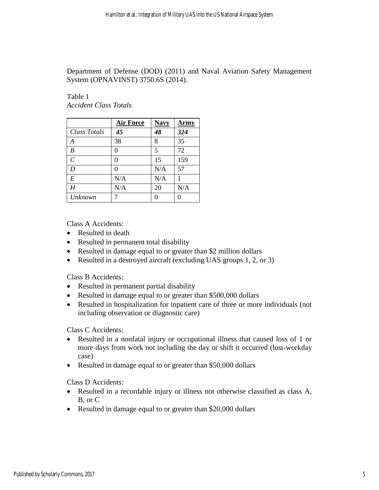Department of Defense (DOD) (2011) and Naval Aviation Safety Management System (OPNAVINST) 3750.6S (2014).

Table 1 *Accident Class Totals*

|                | <b>Air Force</b> | <b>Navy</b> | Armv |
|----------------|------------------|-------------|------|
| Class Totals   | 45               | 48          | 324  |
| A              | 38               | 8           | 35   |
| B              | 0                | 5           | 72   |
| $\overline{C}$ | 0                | 15          | 159  |
| D              | 0                | N/A         | 57   |
| E              | N/A              | N/A         |      |
| H              | N/A              | 20          | N/A  |
| <b>Unknown</b> |                  | 0           |      |

Class A Accidents:

- Resulted in death
- Resulted in permanent total disability
- Resulted in damage equal to or greater than \$2 million dollars
- Resulted in a destroyed aircraft (excluding UAS groups 1, 2, or 3)

Class B Accidents:

- Resulted in permanent partial disability
- Resulted in damage equal to or greater than \$500,000 dollars
- Resulted in hospitalization for inpatient care of three or more individuals (not including observation or diagnostic care)

Class C Accidents:

- Resulted in a nonfatal injury or occupational illness that caused loss of 1 or more days from work not including the day or shift it occurred (lost-workday case)
- Resulted in damage equal to or greater than \$50,000 dollars

Class D Accidents:

- Resulted in a recordable injury or illness not otherwise classified as class A, B, or C
- Resulted in damage equal to or greater than \$20,000 dollars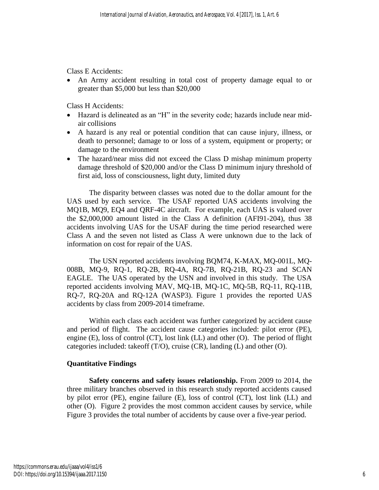Class E Accidents:

 An Army accident resulting in total cost of property damage equal to or greater than \$5,000 but less than \$20,000

Class H Accidents:

- Hazard is delineated as an "H" in the severity code; hazards include near midair collisions
- A hazard is any real or potential condition that can cause injury, illness, or death to personnel; damage to or loss of a system, equipment or property; or damage to the environment
- The hazard/near miss did not exceed the Class D mishap minimum property damage threshold of \$20,000 and/or the Class D minimum injury threshold of first aid, loss of consciousness, light duty, limited duty

The disparity between classes was noted due to the dollar amount for the UAS used by each service. The USAF reported UAS accidents involving the MQ1B, MQ9, EQ4 and QRF-4C aircraft. For example, each UAS is valued over the \$2,000,000 amount listed in the Class A definition (AFI91-204), thus 38 accidents involving UAS for the USAF during the time period researched were Class A and the seven not listed as Class A were unknown due to the lack of information on cost for repair of the UAS.

The USN reported accidents involving BQM74, K-MAX, MQ-001L, MQ-008B, MQ-9, RQ-1, RQ-2B, RQ-4A, RQ-7B, RQ-21B, RQ-23 and SCAN EAGLE. The UAS operated by the USN and involved in this study. The USA reported accidents involving MAV, MQ-1B, MQ-1C, MQ-5B, RQ-11, RQ-11B, RQ-7, RQ-20A and RQ-12A (WASP3). Figure 1 provides the reported UAS accidents by class from 2009-2014 timeframe.

Within each class each accident was further categorized by accident cause and period of flight. The accident cause categories included: pilot error (PE), engine (E), loss of control (CT), lost link (LL) and other (O). The period of flight categories included: takeoff (T/O), cruise (CR), landing (L) and other (O).

# **Quantitative Findings**

**Safety concerns and safety issues relationship.** From 2009 to 2014, the three military branches observed in this research study reported accidents caused by pilot error (PE), engine failure (E), loss of control (CT), lost link (LL) and other (O). Figure 2 provides the most common accident causes by service, while Figure 3 provides the total number of accidents by cause over a five-year period.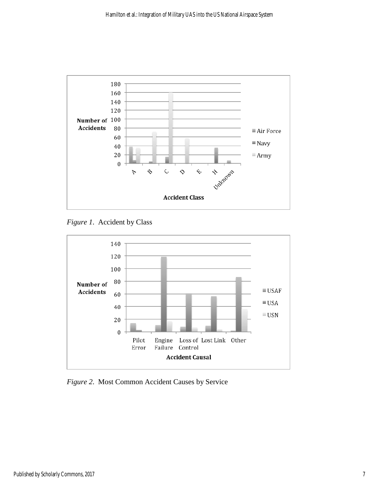

*Figure 1*. Accident by Class



*Figure 2*. Most Common Accident Causes by Service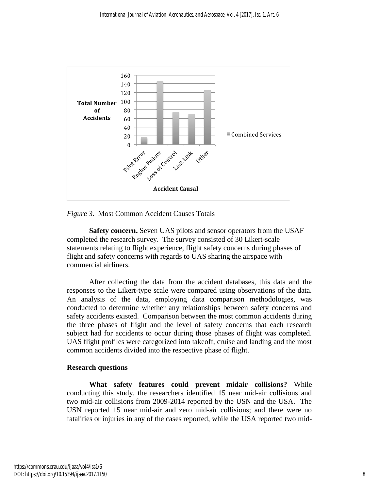

*Figure 3*. Most Common Accident Causes Totals

**Safety concern.** Seven UAS pilots and sensor operators from the USAF completed the research survey. The survey consisted of 30 Likert-scale statements relating to flight experience, flight safety concerns during phases of flight and safety concerns with regards to UAS sharing the airspace with commercial airliners.

After collecting the data from the accident databases, this data and the responses to the Likert-type scale were compared using observations of the data. An analysis of the data, employing data comparison methodologies, was conducted to determine whether any relationships between safety concerns and safety accidents existed. Comparison between the most common accidents during the three phases of flight and the level of safety concerns that each research subject had for accidents to occur during those phases of flight was completed. UAS flight profiles were categorized into takeoff, cruise and landing and the most common accidents divided into the respective phase of flight.

# **Research questions**

**What safety features could prevent midair collisions?** While conducting this study, the researchers identified 15 near mid-air collisions and two mid-air collisions from 2009-2014 reported by the USN and the USA. The USN reported 15 near mid-air and zero mid-air collisions; and there were no fatalities or injuries in any of the cases reported, while the USA reported two mid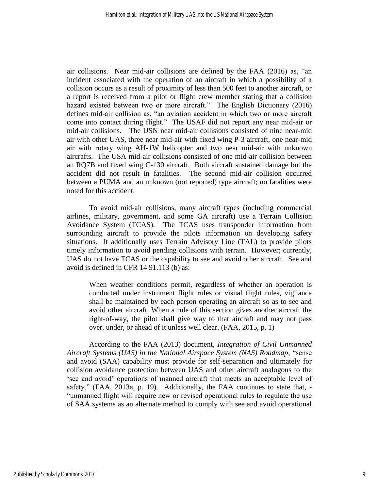air collisions. Near mid-air collisions are defined by the FAA (2016) as, "an incident associated with the operation of an aircraft in which a possibility of a collision occurs as a result of proximity of less than 500 feet to another aircraft, or a report is received from a pilot or flight crew member stating that a collision hazard existed between two or more aircraft." The English Dictionary (2016) defines mid-air collision as, "an aviation accident in which two or more aircraft come into contact during flight." The USAF did not report any near mid-air or mid-air collisions. The USN near mid-air collisions consisted of nine near-mid air with other UAS, three near mid-air with fixed wing P-3 aircraft, one near-mid air with rotary wing AH-1W helicopter and two near mid-air with unknown aircrafts. The USA mid-air collisions consisted of one mid-air collision between an RQ7B and fixed wing C-130 aircraft. Both aircraft sustained damage but the accident did not result in fatalities. The second mid-air collision occurred between a PUMA and an unknown (not reported) type aircraft; no fatalities were noted for this accident.

To avoid mid-air collisions, many aircraft types (including commercial airlines, military, government, and some GA aircraft) use a Terrain Collision Avoidance System (TCAS). The TCAS uses transponder information from surrounding aircraft to provide the pilots information on developing safety situations. It additionally uses Terrain Advisory Line (TAL) to provide pilots timely information to avoid pending collisions with terrain. However; currently, UAS do not have TCAS or the capability to see and avoid other aircraft. See and avoid is defined in CFR 14 91.113 (b) as:

When weather conditions permit, regardless of whether an operation is conducted under instrument flight rules or visual flight rules, vigilance shall be maintained by each person operating an aircraft so as to see and avoid other aircraft. When a rule of this section gives another aircraft the right-of-way, the pilot shall give way to that aircraft and may not pass over, under, or ahead of it unless well clear. (FAA, 2015, p. 1)

According to the FAA (2013) document, *Integration of Civil Unmanned Aircraft Systems (UAS) in the National Airspace System (NAS) Roadmap*, "sense and avoid (SAA) capability must provide for self-separation and ultimately for collision avoidance protection between UAS and other aircraft analogous to the 'see and avoid' operations of manned aircraft that meets an acceptable level of safety," (FAA, 2013a, p. 19). Additionally, the FAA continues to state that, -"unmanned flight will require new or revised operational rules to regulate the use of SAA systems as an alternate method to comply with see and avoid operational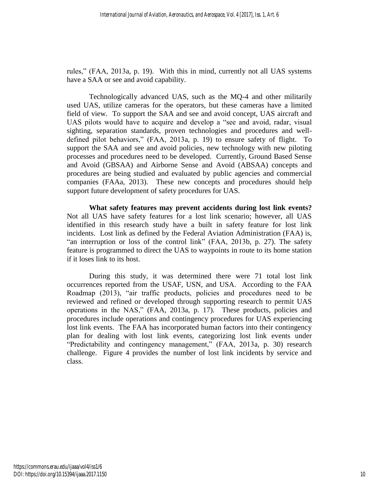rules," (FAA, 2013a, p. 19). With this in mind, currently not all UAS systems have a SAA or see and avoid capability.

Technologically advanced UAS, such as the MQ-4 and other militarily used UAS, utilize cameras for the operators, but these cameras have a limited field of view. To support the SAA and see and avoid concept, UAS aircraft and UAS pilots would have to acquire and develop a "see and avoid, radar, visual sighting, separation standards, proven technologies and procedures and welldefined pilot behaviors," (FAA, 2013a, p. 19) to ensure safety of flight. To support the SAA and see and avoid policies, new technology with new piloting processes and procedures need to be developed. Currently, Ground Based Sense and Avoid (GBSAA) and Airborne Sense and Avoid (ABSAA) concepts and procedures are being studied and evaluated by public agencies and commercial companies (FAAa, 2013). These new concepts and procedures should help support future development of safety procedures for UAS.

**What safety features may prevent accidents during lost link events?** Not all UAS have safety features for a lost link scenario; however, all UAS identified in this research study have a built in safety feature for lost link incidents. Lost link as defined by the Federal Aviation Administration (FAA) is, "an interruption or loss of the control link" (FAA, 2013b, p. 27). The safety feature is programmed to direct the UAS to waypoints in route to its home station if it loses link to its host.

During this study, it was determined there were 71 total lost link occurrences reported from the USAF, USN, and USA. According to the FAA Roadmap (2013), "air traffic products, policies and procedures need to be reviewed and refined or developed through supporting research to permit UAS operations in the NAS," (FAA, 2013a, p. 17). These products, policies and procedures include operations and contingency procedures for UAS experiencing lost link events. The FAA has incorporated human factors into their contingency plan for dealing with lost link events, categorizing lost link events under "Predictability and contingency management," (FAA, 2013a, p. 30) research challenge. Figure 4 provides the number of lost link incidents by service and class.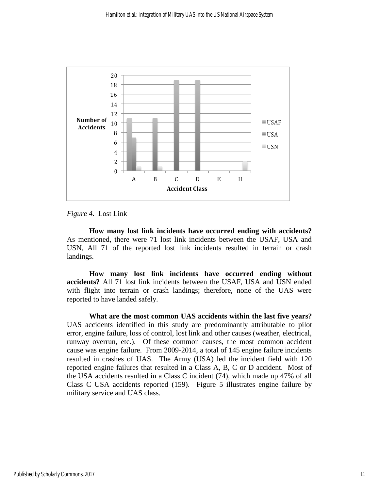

*Figure 4*. Lost Link

**How many lost link incidents have occurred ending with accidents?** As mentioned, there were 71 lost link incidents between the USAF, USA and USN, All 71 of the reported lost link incidents resulted in terrain or crash landings.

**How many lost link incidents have occurred ending without accidents?** All 71 lost link incidents between the USAF, USA and USN ended with flight into terrain or crash landings; therefore, none of the UAS were reported to have landed safely.

**What are the most common UAS accidents within the last five years?**  UAS accidents identified in this study are predominantly attributable to pilot error, engine failure, loss of control, lost link and other causes (weather, electrical, runway overrun, etc.). Of these common causes, the most common accident cause was engine failure. From 2009-2014, a total of 145 engine failure incidents resulted in crashes of UAS. The Army (USA) led the incident field with 120 reported engine failures that resulted in a Class A, B, C or D accident. Most of the USA accidents resulted in a Class C incident (74), which made up 47% of all Class C USA accidents reported (159). Figure 5 illustrates engine failure by military service and UAS class.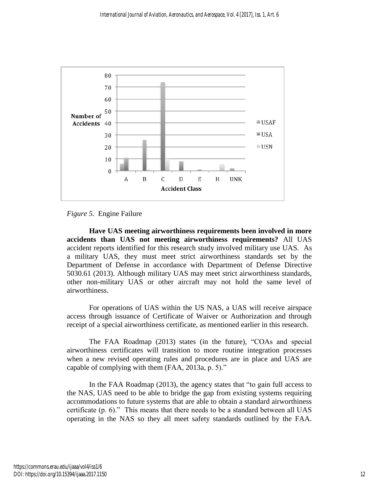

*Figure 5*. Engine Failure

**Have UAS meeting airworthiness requirements been involved in more accidents than UAS not meeting airworthiness requirements?** All UAS accident reports identified for this research study involved military use UAS. As a military UAS, they must meet strict airworthiness standards set by the Department of Defense in accordance with Department of Defense Directive 5030.61 (2013). Although military UAS may meet strict airworthiness standards, other non-military UAS or other aircraft may not hold the same level of airworthiness.

For operations of UAS within the US NAS, a UAS will receive airspace access through issuance of Certificate of Waiver or Authorization and through receipt of a special airworthiness certificate, as mentioned earlier in this research.

The FAA Roadmap (2013) states (in the future), "COAs and special airworthiness certificates will transition to more routine integration processes when a new revised operating rules and procedures are in place and UAS are capable of complying with them (FAA, 2013a, p. 5)."

In the FAA Roadmap (2013), the agency states that "to gain full access to the NAS, UAS need to be able to bridge the gap from existing systems requiring accommodations to future systems that are able to obtain a standard airworthiness certificate (p. 6)." This means that there needs to be a standard between all UAS operating in the NAS so they all meet safety standards outlined by the FAA.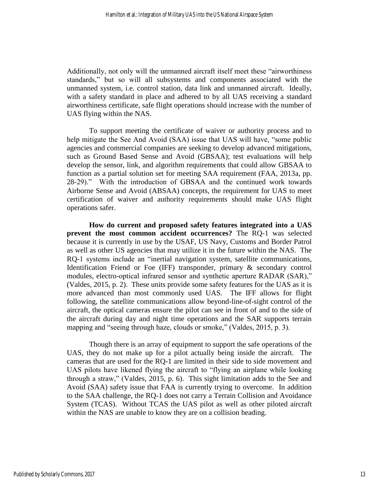Additionally, not only will the unmanned aircraft itself meet these "airworthiness standards," but so will all subsystems and components associated with the unmanned system, i.e. control station, data link and unmanned aircraft. Ideally, with a safety standard in place and adhered to by all UAS receiving a standard airworthiness certificate, safe flight operations should increase with the number of UAS flying within the NAS.

To support meeting the certificate of waiver or authority process and to help mitigate the See And Avoid (SAA) issue that UAS will have, "some public agencies and commercial companies are seeking to develop advanced mitigations, such as Ground Based Sense and Avoid (GBSAA); test evaluations will help develop the sensor, link, and algorithm requirements that could allow GBSAA to function as a partial solution set for meeting SAA requirement (FAA, 2013a, pp. 28-29)." With the introduction of GBSAA and the continued work towards Airborne Sense and Avoid (ABSAA) concepts, the requirement for UAS to meet certification of waiver and authority requirements should make UAS flight operations safer.

**How do current and proposed safety features integrated into a UAS prevent the most common accident occurrences?** The RQ-1 was selected because it is currently in use by the USAF, US Navy, Customs and Border Patrol as well as other US agencies that may utilize it in the future within the NAS. The RQ-1 systems include an "inertial navigation system, satellite communications, Identification Friend or Foe (IFF) transponder, primary & secondary control modules, electro-optical infrared sensor and synthetic aperture RADAR (SAR)," (Valdes, 2015, p. 2). These units provide some safety features for the UAS as it is more advanced than most commonly used UAS. The IFF allows for flight following, the satellite communications allow beyond-line-of-sight control of the aircraft, the optical cameras ensure the pilot can see in front of and to the side of the aircraft during day and night time operations and the SAR supports terrain mapping and "seeing through haze, clouds or smoke," (Valdes, 2015, p. 3).

Though there is an array of equipment to support the safe operations of the UAS, they do not make up for a pilot actually being inside the aircraft. The cameras that are used for the RQ-1 are limited in their side to side movement and UAS pilots have likened flying the aircraft to "flying an airplane while looking through a straw," (Valdes, 2015, p. 6). This sight limitation adds to the See and Avoid (SAA) safety issue that FAA is currently trying to overcome. In addition to the SAA challenge, the RQ-1 does not carry a Terrain Collision and Avoidance System (TCAS). Without TCAS the UAS pilot as well as other piloted aircraft within the NAS are unable to know they are on a collision heading.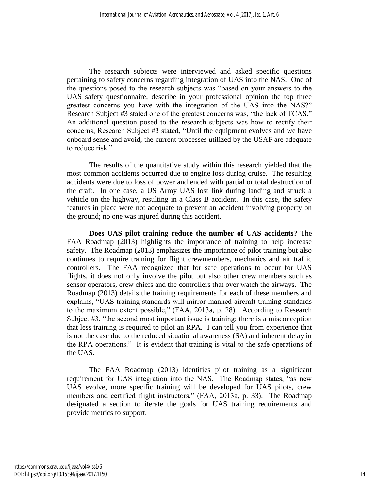The research subjects were interviewed and asked specific questions pertaining to safety concerns regarding integration of UAS into the NAS. One of the questions posed to the research subjects was "based on your answers to the UAS safety questionnaire, describe in your professional opinion the top three greatest concerns you have with the integration of the UAS into the NAS?" Research Subject #3 stated one of the greatest concerns was, "the lack of TCAS." An additional question posed to the research subjects was how to rectify their concerns; Research Subject #3 stated, "Until the equipment evolves and we have onboard sense and avoid, the current processes utilized by the USAF are adequate to reduce risk."

The results of the quantitative study within this research yielded that the most common accidents occurred due to engine loss during cruise. The resulting accidents were due to loss of power and ended with partial or total destruction of the craft. In one case, a US Army UAS lost link during landing and struck a vehicle on the highway, resulting in a Class B accident. In this case, the safety features in place were not adequate to prevent an accident involving property on the ground; no one was injured during this accident.

**Does UAS pilot training reduce the number of UAS accidents?** The FAA Roadmap (2013) highlights the importance of training to help increase safety. The Roadmap (2013) emphasizes the importance of pilot training but also continues to require training for flight crewmembers, mechanics and air traffic controllers. The FAA recognized that for safe operations to occur for UAS flights, it does not only involve the pilot but also other crew members such as sensor operators, crew chiefs and the controllers that over watch the airways. The Roadmap (2013) details the training requirements for each of these members and explains, "UAS training standards will mirror manned aircraft training standards to the maximum extent possible," (FAA, 2013a, p. 28). According to Research Subject #3, "the second most important issue is training; there is a misconception that less training is required to pilot an RPA. I can tell you from experience that is not the case due to the reduced situational awareness (SA) and inherent delay in the RPA operations." It is evident that training is vital to the safe operations of the UAS.

The FAA Roadmap (2013) identifies pilot training as a significant requirement for UAS integration into the NAS. The Roadmap states, "as new UAS evolve, more specific training will be developed for UAS pilots, crew members and certified flight instructors," (FAA, 2013a, p. 33). The Roadmap designated a section to iterate the goals for UAS training requirements and provide metrics to support.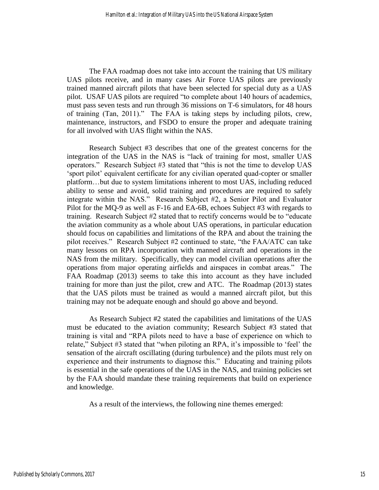The FAA roadmap does not take into account the training that US military UAS pilots receive, and in many cases Air Force UAS pilots are previously trained manned aircraft pilots that have been selected for special duty as a UAS pilot. USAF UAS pilots are required "to complete about 140 hours of academics, must pass seven tests and run through 36 missions on T-6 simulators, for 48 hours of training (Tan, 2011)." The FAA is taking steps by including pilots, crew, maintenance, instructors, and FSDO to ensure the proper and adequate training for all involved with UAS flight within the NAS.

Research Subject #3 describes that one of the greatest concerns for the integration of the UAS in the NAS is "lack of training for most, smaller UAS operators." Research Subject #3 stated that "this is not the time to develop UAS 'sport pilot' equivalent certificate for any civilian operated quad-copter or smaller platform…but due to system limitations inherent to most UAS, including reduced ability to sense and avoid, solid training and procedures are required to safely integrate within the NAS." Research Subject #2, a Senior Pilot and Evaluator Pilot for the MQ-9 as well as F-16 and EA-6B, echoes Subject #3 with regards to training. Research Subject #2 stated that to rectify concerns would be to "educate the aviation community as a whole about UAS operations, in particular education should focus on capabilities and limitations of the RPA and about the training the pilot receives." Research Subject #2 continued to state, "the FAA/ATC can take many lessons on RPA incorporation with manned aircraft and operations in the NAS from the military. Specifically, they can model civilian operations after the operations from major operating airfields and airspaces in combat areas." The FAA Roadmap (2013) seems to take this into account as they have included training for more than just the pilot, crew and ATC. The Roadmap (2013) states that the UAS pilots must be trained as would a manned aircraft pilot, but this training may not be adequate enough and should go above and beyond.

As Research Subject #2 stated the capabilities and limitations of the UAS must be educated to the aviation community; Research Subject #3 stated that training is vital and "RPA pilots need to have a base of experience on which to relate," Subject #3 stated that "when piloting an RPA, it's impossible to 'feel' the sensation of the aircraft oscillating (during turbulence) and the pilots must rely on experience and their instruments to diagnose this." Educating and training pilots is essential in the safe operations of the UAS in the NAS, and training policies set by the FAA should mandate these training requirements that build on experience and knowledge.

As a result of the interviews, the following nine themes emerged: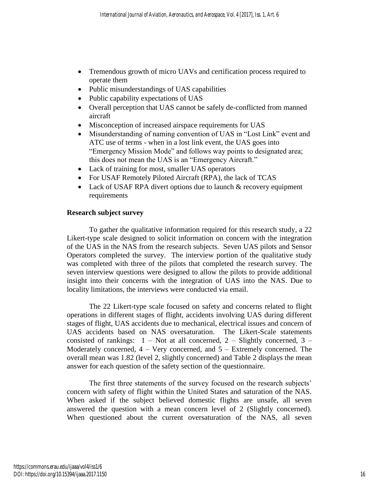- Tremendous growth of micro UAVs and certification process required to operate them
- Public misunderstandings of UAS capabilities
- Public capability expectations of UAS
- Overall perception that UAS cannot be safely de-conflicted from manned aircraft
- Misconception of increased airspace requirements for UAS
- Misunderstanding of naming convention of UAS in "Lost Link" event and ATC use of terms - when in a lost link event, the UAS goes into "Emergency Mission Mode" and follows way points to designated area; this does not mean the UAS is an "Emergency Aircraft."
- Lack of training for most, smaller UAS operators
- For USAF Remotely Piloted Aircraft (RPA), the lack of TCAS
- Lack of USAF RPA divert options due to launch & recovery equipment requirements

# **Research subject survey**

To gather the qualitative information required for this research study, a 22 Likert-type scale designed to solicit information on concern with the integration of the UAS in the NAS from the research subjects. Seven UAS pilots and Sensor Operators completed the survey. The interview portion of the qualitative study was completed with three of the pilots that completed the research survey. The seven interview questions were designed to allow the pilots to provide additional insight into their concerns with the integration of UAS into the NAS. Due to locality limitations, the interviews were conducted via email.

The 22 Likert-type scale focused on safety and concerns related to flight operations in different stages of flight, accidents involving UAS during different stages of flight, UAS accidents due to mechanical, electrical issues and concern of UAS accidents based on NAS oversaturation. The Likert-Scale statements consisted of rankings:  $1 - Not$  at all concerned,  $2 - S$ lightly concerned,  $3 -$ Moderately concerned,  $4 - \text{Very concerned}$ , and  $5 - \text{Extremely concerned}$ . The overall mean was 1.82 (level 2, slightly concerned) and Table 2 displays the mean answer for each question of the safety section of the questionnaire.

The first three statements of the survey focused on the research subjects' concern with safety of flight within the United States and saturation of the NAS. When asked if the subject believed domestic flights are unsafe, all seven answered the question with a mean concern level of 2 (Slightly concerned). When questioned about the current oversaturation of the NAS, all seven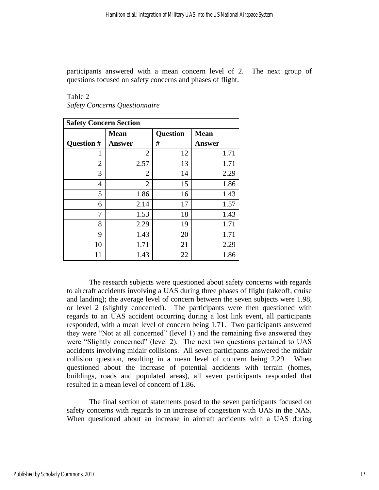participants answered with a mean concern level of 2. The next group of questions focused on safety concerns and phases of flight.

| <b>Safety Concern Section</b> |                |                 |               |  |  |  |  |  |
|-------------------------------|----------------|-----------------|---------------|--|--|--|--|--|
|                               | <b>Mean</b>    | <b>Question</b> | <b>Mean</b>   |  |  |  |  |  |
| Question #                    | <b>Answer</b>  | #               | <b>Answer</b> |  |  |  |  |  |
|                               | 2              | 12              | 1.71          |  |  |  |  |  |
| $\overline{2}$                | 2.57           | 13              | 1.71          |  |  |  |  |  |
| 3                             | 2              | 14              | 2.29          |  |  |  |  |  |
| $\overline{4}$                | $\overline{2}$ | 15              | 1.86          |  |  |  |  |  |
| 5                             | 1.86           | 16              | 1.43          |  |  |  |  |  |
| 6                             | 2.14           | 17              | 1.57          |  |  |  |  |  |
| 7                             | 1.53           | 18              | 1.43          |  |  |  |  |  |
| 8                             | 2.29           | 19              | 1.71          |  |  |  |  |  |
| 9                             | 1.43           | 20              | 1.71          |  |  |  |  |  |
| 10                            | 1.71           | 21              | 2.29          |  |  |  |  |  |
| 11                            | 1.43           | 22              | 1.86          |  |  |  |  |  |

Table 2 *Safety Concerns Questionnaire*

The research subjects were questioned about safety concerns with regards to aircraft accidents involving a UAS during three phases of flight (takeoff, cruise and landing); the average level of concern between the seven subjects were 1.98, or level 2 (slightly concerned). The participants were then questioned with regards to an UAS accident occurring during a lost link event, all participants responded, with a mean level of concern being 1.71. Two participants answered they were "Not at all concerned" (level 1) and the remaining five answered they were "Slightly concerned" (level 2). The next two questions pertained to UAS accidents involving midair collisions. All seven participants answered the midair collision question, resulting in a mean level of concern being 2.29. When questioned about the increase of potential accidents with terrain (homes, buildings, roads and populated areas), all seven participants responded that resulted in a mean level of concern of 1.86.

The final section of statements posed to the seven participants focused on safety concerns with regards to an increase of congestion with UAS in the NAS. When questioned about an increase in aircraft accidents with a UAS during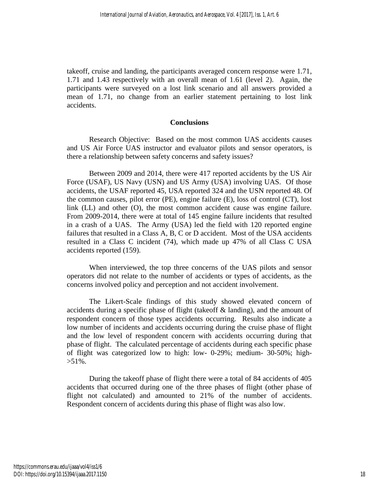takeoff, cruise and landing, the participants averaged concern response were 1.71, 1.71 and 1.43 respectively with an overall mean of 1.61 (level 2). Again, the participants were surveyed on a lost link scenario and all answers provided a mean of 1.71, no change from an earlier statement pertaining to lost link accidents.

## **Conclusions**

Research Objective: Based on the most common UAS accidents causes and US Air Force UAS instructor and evaluator pilots and sensor operators, is there a relationship between safety concerns and safety issues?

Between 2009 and 2014, there were 417 reported accidents by the US Air Force (USAF), US Navy (USN) and US Army (USA) involving UAS. Of those accidents, the USAF reported 45, USA reported 324 and the USN reported 48. Of the common causes, pilot error (PE), engine failure (E), loss of control (CT), lost link (LL) and other (O), the most common accident cause was engine failure. From 2009-2014, there were at total of 145 engine failure incidents that resulted in a crash of a UAS. The Army (USA) led the field with 120 reported engine failures that resulted in a Class A, B, C or D accident. Most of the USA accidents resulted in a Class C incident (74), which made up 47% of all Class C USA accidents reported (159).

When interviewed, the top three concerns of the UAS pilots and sensor operators did not relate to the number of accidents or types of accidents, as the concerns involved policy and perception and not accident involvement.

The Likert-Scale findings of this study showed elevated concern of accidents during a specific phase of flight (takeoff & landing), and the amount of respondent concern of those types accidents occurring. Results also indicate a low number of incidents and accidents occurring during the cruise phase of flight and the low level of respondent concern with accidents occurring during that phase of flight. The calculated percentage of accidents during each specific phase of flight was categorized low to high: low- 0-29%; medium- 30-50%; high-  $>51\%$ .

During the takeoff phase of flight there were a total of 84 accidents of 405 accidents that occurred during one of the three phases of flight (other phase of flight not calculated) and amounted to 21% of the number of accidents. Respondent concern of accidents during this phase of flight was also low.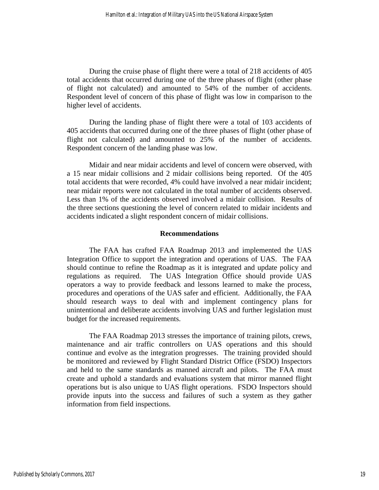During the cruise phase of flight there were a total of 218 accidents of 405 total accidents that occurred during one of the three phases of flight (other phase of flight not calculated) and amounted to 54% of the number of accidents. Respondent level of concern of this phase of flight was low in comparison to the higher level of accidents.

During the landing phase of flight there were a total of 103 accidents of 405 accidents that occurred during one of the three phases of flight (other phase of flight not calculated) and amounted to 25% of the number of accidents. Respondent concern of the landing phase was low.

Midair and near midair accidents and level of concern were observed, with a 15 near midair collisions and 2 midair collisions being reported. Of the 405 total accidents that were recorded, 4% could have involved a near midair incident; near midair reports were not calculated in the total number of accidents observed. Less than 1% of the accidents observed involved a midair collision. Results of the three sections questioning the level of concern related to midair incidents and accidents indicated a slight respondent concern of midair collisions.

#### **Recommendations**

The FAA has crafted FAA Roadmap 2013 and implemented the UAS Integration Office to support the integration and operations of UAS. The FAA should continue to refine the Roadmap as it is integrated and update policy and regulations as required. The UAS Integration Office should provide UAS operators a way to provide feedback and lessons learned to make the process, procedures and operations of the UAS safer and efficient. Additionally, the FAA should research ways to deal with and implement contingency plans for unintentional and deliberate accidents involving UAS and further legislation must budget for the increased requirements.

The FAA Roadmap 2013 stresses the importance of training pilots, crews, maintenance and air traffic controllers on UAS operations and this should continue and evolve as the integration progresses. The training provided should be monitored and reviewed by Flight Standard District Office (FSDO) Inspectors and held to the same standards as manned aircraft and pilots. The FAA must create and uphold a standards and evaluations system that mirror manned flight operations but is also unique to UAS flight operations. FSDO Inspectors should provide inputs into the success and failures of such a system as they gather information from field inspections.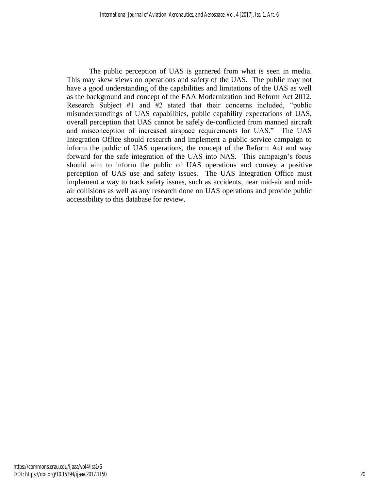The public perception of UAS is garnered from what is seen in media. This may skew views on operations and safety of the UAS. The public may not have a good understanding of the capabilities and limitations of the UAS as well as the background and concept of the FAA Modernization and Reform Act 2012. Research Subject #1 and #2 stated that their concerns included, "public misunderstandings of UAS capabilities, public capability expectations of UAS, overall perception that UAS cannot be safely de-conflicted from manned aircraft and misconception of increased airspace requirements for UAS." The UAS Integration Office should research and implement a public service campaign to inform the public of UAS operations, the concept of the Reform Act and way forward for the safe integration of the UAS into NAS. This campaign's focus should aim to inform the public of UAS operations and convey a positive perception of UAS use and safety issues. The UAS Integration Office must implement a way to track safety issues, such as accidents, near mid-air and midair collisions as well as any research done on UAS operations and provide public accessibility to this database for review.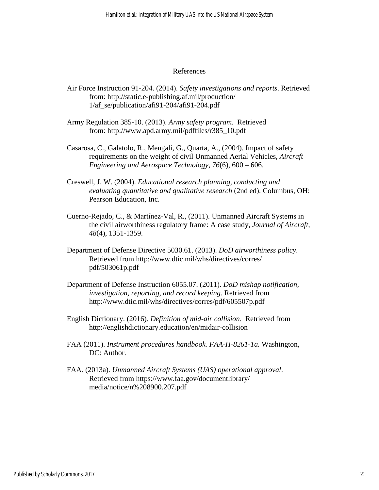## References

- Air Force Instruction 91-204. (2014). *Safety investigations and reports*. Retrieved from: http://static.e-publishing.af.mil/production/ 1/af\_se/publication/afi91-204/afi91-204.pdf
- Army Regulation 385-10. (2013). *Army safety program*. Retrieved from: http://www.apd.army.mil/pdffiles/r385\_10.pdf
- Casarosa, C., Galatolo, R., Mengali, G., Quarta, A., (2004). Impact of safety requirements on the weight of civil Unmanned Aerial Vehicles, *Aircraft Engineering and Aerospace Technology, 76*(6), 600 – 606.
- Creswell, J. W. (2004). *Educational research planning, conducting and evaluating quantitative and qualitative research* (2nd ed). Columbus, OH: Pearson Education, Inc.
- Cuerno-Rejado, C., & Martínez-Val, R., (2011). Unmanned Aircraft Systems in the civil airworthiness regulatory frame: A case study, *Journal of Aircraft, 48*(4), 1351-1359.
- Department of Defense Directive 5030.61. (2013). *DoD airworthiness policy*. Retrieved from http://www.dtic.mil/whs/directives/corres/ pdf/503061p.pdf
- Department of Defense Instruction 6055.07. (2011). *DoD mishap notification, investigation, reporting, and record keeping*. Retrieved from http://www.dtic.mil/whs/directives/corres/pdf/605507p.pdf
- English Dictionary. (2016). *Definition of mid-air collision*. Retrieved from http://englishdictionary.education/en/midair-collision
- FAA (2011). *Instrument procedures handbook. FAA-H-8261-1a.* Washington, DC: Author.
- FAA. (2013a). *Unmanned Aircraft Systems (UAS) operational approval*. Retrieved from https://www.faa.gov/documentlibrary/ media/notice/n%208900.207.pdf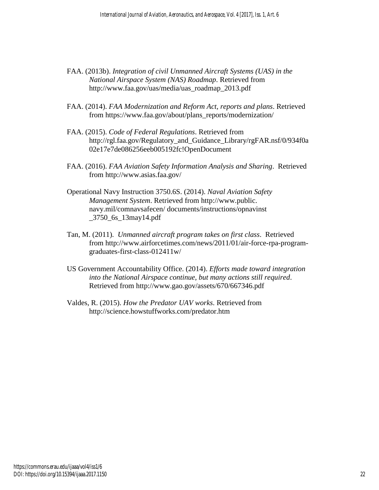- FAA. (2013b). *Integration of civil Unmanned Aircraft Systems (UAS) in the National Airspace System (NAS) Roadmap*. Retrieved from http://www.faa.gov/uas/media/uas\_roadmap\_2013.pdf
- FAA. (2014). *FAA Modernization and Reform Act, reports and plans*. Retrieved from https://www.faa.gov/about/plans\_reports/modernization/
- FAA. (2015). *Code of Federal Regulations*. Retrieved from http://rgl.faa.gov/Regulatory\_and\_Guidance\_Library/rgFAR.nsf/0/934f0a 02e17e7de086256eeb005192fc!OpenDocument
- FAA. (2016). *FAA Aviation Safety Information Analysis and Sharing*. Retrieved from http://www.asias.faa.gov/
- Operational Navy Instruction 3750.6S. (2014). *Naval Aviation Safety Management System*. Retrieved from http://www.public. navy.mil/comnavsafecen/ documents/instructions/opnavinst \_3750\_6s\_13may14.pdf
- Tan, M. (2011). *Unmanned aircraft program takes on first class*. Retrieved from http://www.airforcetimes.com/news/2011/01/air-force-rpa-programgraduates-first-class-012411w/
- US Government Accountability Office. (2014). *Efforts made toward integration into the National Airspace continue, but many actions still required*. Retrieved from http://www.gao.gov/assets/670/667346.pdf
- Valdes, R. (2015). *How the Predator UAV works*. Retrieved from http://science.howstuffworks.com/predator.htm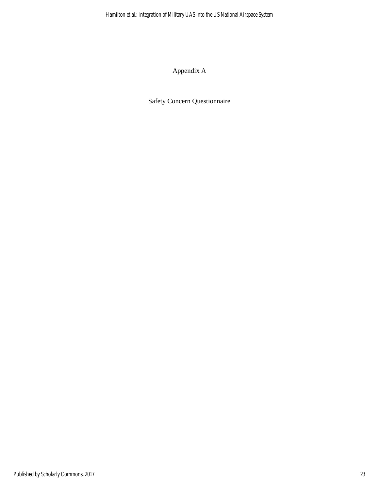Appendix A

Safety Concern Questionnaire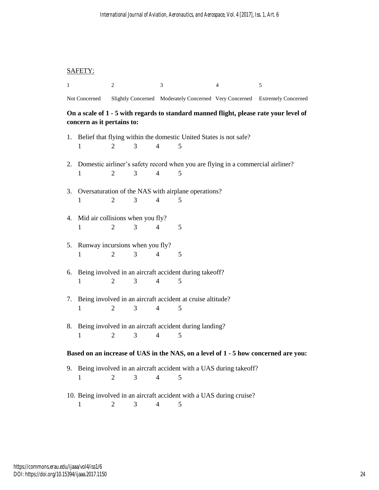# SAFETY:

| 1                                                                                                                   |                                          | 2              |   | 3                        |                                                                    | $\overline{4}$                                                                     | 5                                                                          |  |  |
|---------------------------------------------------------------------------------------------------------------------|------------------------------------------|----------------|---|--------------------------|--------------------------------------------------------------------|------------------------------------------------------------------------------------|----------------------------------------------------------------------------|--|--|
|                                                                                                                     | Not Concerned                            |                |   |                          |                                                                    |                                                                                    | Slightly Concerned Moderately Concerned Very Concerned Extremely Concerned |  |  |
| On a scale of 1 - 5 with regards to standard manned flight, please rate your level of<br>concern as it pertains to: |                                          |                |   |                          |                                                                    |                                                                                    |                                                                            |  |  |
|                                                                                                                     | 1                                        | $\overline{2}$ | 3 | $\overline{4}$           | 5                                                                  | 1. Belief that flying within the domestic United States is not safe?               |                                                                            |  |  |
|                                                                                                                     | 1                                        | $\overline{2}$ | 3 | 4                        | 5                                                                  | 2. Domestic airliner's safety record when you are flying in a commercial airliner? |                                                                            |  |  |
|                                                                                                                     | 1                                        | 2              | 3 | $\overline{4}$           | 3. Oversaturation of the NAS with airplane operations?<br>5        |                                                                                    |                                                                            |  |  |
|                                                                                                                     | 4. Mid air collisions when you fly?<br>1 | $\overline{2}$ | 3 | $\overline{4}$           | 5                                                                  |                                                                                    |                                                                            |  |  |
|                                                                                                                     | 5. Runway incursions when you fly?       | $\overline{2}$ | 3 | 4                        | 5                                                                  |                                                                                    |                                                                            |  |  |
|                                                                                                                     | 1                                        |                |   |                          | 6. Being involved in an aircraft accident during takeoff?          |                                                                                    |                                                                            |  |  |
|                                                                                                                     | $\mathbf{1}$                             | 2              | 3 | $\overline{4}$           | 5                                                                  |                                                                                    |                                                                            |  |  |
|                                                                                                                     | 1                                        | 2              | 3 | 4                        | 7. Being involved in an aircraft accident at cruise altitude?<br>5 |                                                                                    |                                                                            |  |  |
|                                                                                                                     | 1                                        | 2              | 3 | 4                        | 8. Being involved in an aircraft accident during landing?<br>5     |                                                                                    |                                                                            |  |  |
| Based on an increase of UAS in the NAS, on a level of 1 - 5 how concerned are you:                                  |                                          |                |   |                          |                                                                    |                                                                                    |                                                                            |  |  |
| 9.                                                                                                                  | 1                                        | 2              | 3 | $\overline{\mathcal{A}}$ | 5                                                                  | Being involved in an aircraft accident with a UAS during takeoff?                  |                                                                            |  |  |
|                                                                                                                     | 1                                        | 2              | 3 | 4                        | 5                                                                  | 10. Being involved in an aircraft accident with a UAS during cruise?               |                                                                            |  |  |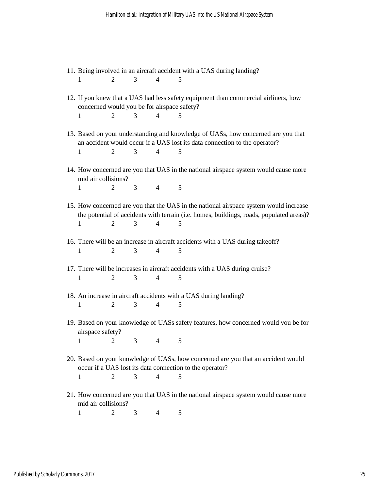- 11. Being involved in an aircraft accident with a UAS during landing? 1 2 3 4 5
- 12. If you knew that a UAS had less safety equipment than commercial airliners, how concerned would you be for airspace safety? 1 2 3 4 5
- 13. Based on your understanding and knowledge of UASs, how concerned are you that an accident would occur if a UAS lost its data connection to the operator? 1 2 3 4 5
- 14. How concerned are you that UAS in the national airspace system would cause more mid air collisions? 1 2 3 4 5
- 15. How concerned are you that the UAS in the national airspace system would increase the potential of accidents with terrain (i.e. homes, buildings, roads, populated areas)? 1 2 3 4 5
- 16. There will be an increase in aircraft accidents with a UAS during takeoff? 1 2 3 4 5
- 17. There will be increases in aircraft accidents with a UAS during cruise? 1 2 3 4 5
- 18. An increase in aircraft accidents with a UAS during landing? 1 2 3 4 5
- 19. Based on your knowledge of UASs safety features, how concerned would you be for airspace safety? 1 2 3 4 5
- 20. Based on your knowledge of UASs, how concerned are you that an accident would occur if a UAS lost its data connection to the operator? 1 2 3 4 5
- 21. How concerned are you that UAS in the national airspace system would cause more mid air collisions?

1 2 3 4 5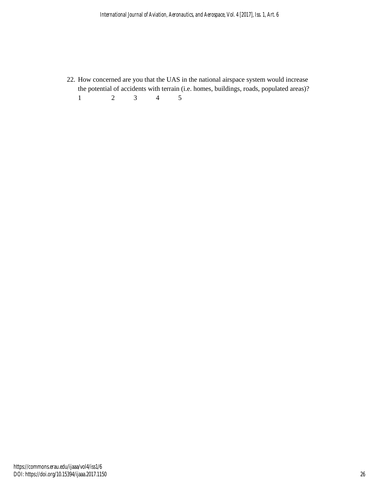22. How concerned are you that the UAS in the national airspace system would increase the potential of accidents with terrain (i.e. homes, buildings, roads, populated areas)? 1 2 3 4 5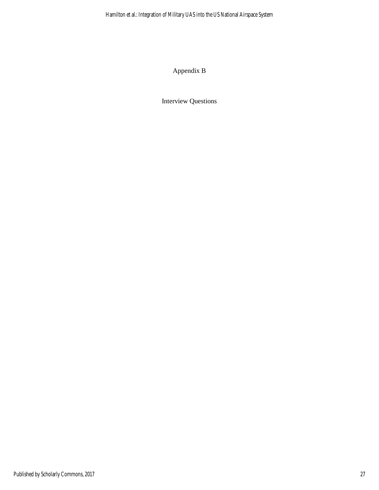Appendix B

Interview Questions